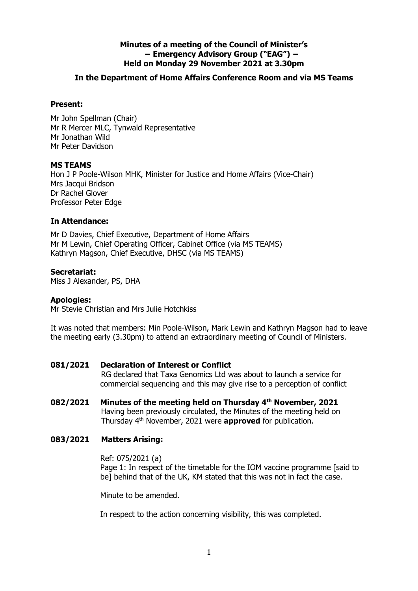## **Minutes of a meeting of the Council of Minister's − Emergency Advisory Group ("EAG") − Held on Monday 29 November 2021 at 3.30pm**

## **In the Department of Home Affairs Conference Room and via MS Teams**

### **Present:**

Mr John Spellman (Chair) Mr R Mercer MLC, Tynwald Representative Mr Jonathan Wild Mr Peter Davidson

#### **MS TEAMS**

Hon J P Poole-Wilson MHK, Minister for Justice and Home Affairs (Vice-Chair) Mrs Jacqui Bridson Dr Rachel Glover Professor Peter Edge

## **In Attendance:**

Mr D Davies, Chief Executive, Department of Home Affairs Mr M Lewin, Chief Operating Officer, Cabinet Office (via MS TEAMS) Kathryn Magson, Chief Executive, DHSC (via MS TEAMS)

## **Secretariat:**

Miss J Alexander, PS, DHA

### **Apologies:**

Mr Stevie Christian and Mrs Julie Hotchkiss

It was noted that members: Min Poole-Wilson, Mark Lewin and Kathryn Magson had to leave the meeting early (3.30pm) to attend an extraordinary meeting of Council of Ministers.

# **081/2021 Declaration of Interest or Conflict**

RG declared that Taxa Genomics Ltd was about to launch a service for commercial sequencing and this may give rise to a perception of conflict

**082/2021 Minutes of the meeting held on Thursday 4th November, 2021** Having been previously circulated, the Minutes of the meeting held on Thursday 4th November, 2021 were **approved** for publication.

# **083/2021 Matters Arising:**

Ref: 075/2021 (a)

Page 1: In respect of the timetable for the IOM vaccine programme [said to be] behind that of the UK, KM stated that this was not in fact the case.

Minute to be amended.

In respect to the action concerning visibility, this was completed.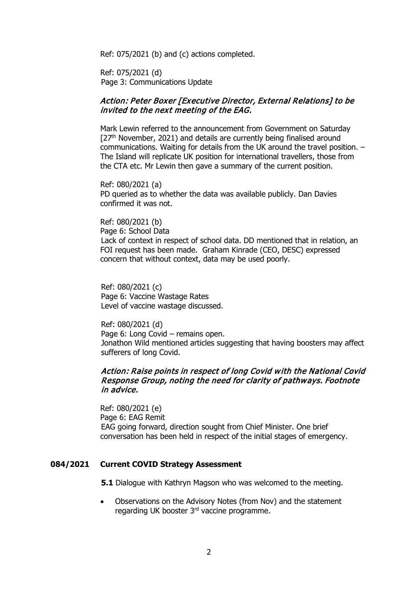Ref: 075/2021 (b) and (c) actions completed.

Ref: 075/2021 (d) Page 3: Communications Update

## Action: Peter Boxer [Executive Director, External Relations] to be invited to the next meeting of the EAG.

Mark Lewin referred to the announcement from Government on Saturday  $[27<sup>th</sup>$  November, 2021) and details are currently being finalised around communications. Waiting for details from the UK around the travel position. – The Island will replicate UK position for international travellers, those from the CTA etc. Mr Lewin then gave a summary of the current position.

Ref: 080/2021 (a) PD queried as to whether the data was available publicly. Dan Davies confirmed it was not.

Ref: 080/2021 (b) Page 6: School Data Lack of context in respect of school data. DD mentioned that in relation, an FOI request has been made. Graham Kinrade (CEO, DESC) expressed concern that without context, data may be used poorly.

Ref: 080/2021 (c) Page 6: Vaccine Wastage Rates Level of vaccine wastage discussed.

Ref: 080/2021 (d) Page 6: Long Covid – remains open. Jonathon Wild mentioned articles suggesting that having boosters may affect sufferers of long Covid.

#### Action: Raise points in respect of long Covid with the National Covid Response Group, noting the need for clarity of pathways. Footnote in advice.

Ref: 080/2021 (e) Page 6: EAG Remit EAG going forward, direction sought from Chief Minister. One brief conversation has been held in respect of the initial stages of emergency.

#### **084/2021 Current COVID Strategy Assessment**

**5.1** Dialogue with Kathryn Magson who was welcomed to the meeting.

• Observations on the Advisory Notes (from Nov) and the statement regarding UK booster 3rd vaccine programme.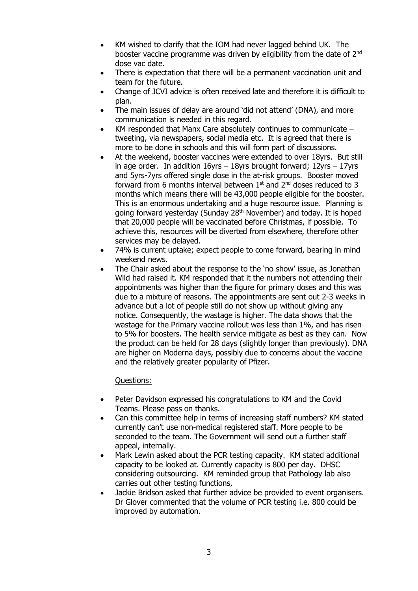- KM wished to clarify that the IOM had never lagged behind UK. The booster vaccine programme was driven by eligibility from the date of 2<sup>nd</sup> dose vac date.
- There is expectation that there will be a permanent vaccination unit and team for the future.
- Change of JCVI advice is often received late and therefore it is difficult to plan.
- The main issues of delay are around 'did not attend' (DNA), and more communication is needed in this regard.
- KM responded that Manx Care absolutely continues to communicate  $$ tweeting, via newspapers, social media etc. It is agreed that there is more to be done in schools and this will form part of discussions.
- At the weekend, booster vaccines were extended to over 18yrs. But still in age order. In addition  $16yrs - 18yrs$  brought forward;  $12yrs - 17yrs$ and 5yrs-7yrs offered single dose in the at-risk groups. Booster moved forward from 6 months interval between  $1<sup>st</sup>$  and  $2<sup>nd</sup>$  doses reduced to 3 months which means there will be 43,000 people eligible for the booster. This is an enormous undertaking and a huge resource issue. Planning is going forward yesterday (Sunday 28<sup>th</sup> November) and today. It is hoped that 20,000 people will be vaccinated before Christmas, if possible. To achieve this, resources will be diverted from elsewhere, therefore other services may be delayed.
- 74% is current uptake; expect people to come forward, bearing in mind weekend news.
- The Chair asked about the response to the 'no show' issue, as Jonathan Wild had raised it. KM responded that it the numbers not attending their appointments was higher than the figure for primary doses and this was due to a mixture of reasons. The appointments are sent out 2-3 weeks in advance but a lot of people still do not show up without giving any notice. Consequently, the wastage is higher. The data shows that the wastage for the Primary vaccine rollout was less than 1%, and has risen to 5% for boosters. The health service mitigate as best as they can. Now the product can be held for 28 days (slightly longer than previously). DNA are higher on Moderna days, possibly due to concerns about the vaccine and the relatively greater popularity of Pfizer.

Questions:

- Peter Davidson expressed his congratulations to KM and the Covid Teams. Please pass on thanks.
- Can this committee help in terms of increasing staff numbers? KM stated currently can't use non-medical registered staff. More people to be seconded to the team. The Government will send out a further staff appeal, internally.
- Mark Lewin asked about the PCR testing capacity. KM stated additional capacity to be looked at. Currently capacity is 800 per day. DHSC considering outsourcing. KM reminded group that Pathology lab also carries out other testing functions,
- Jackie Bridson asked that further advice be provided to event organisers. Dr Glover commented that the volume of PCR testing i.e. 800 could be improved by automation.